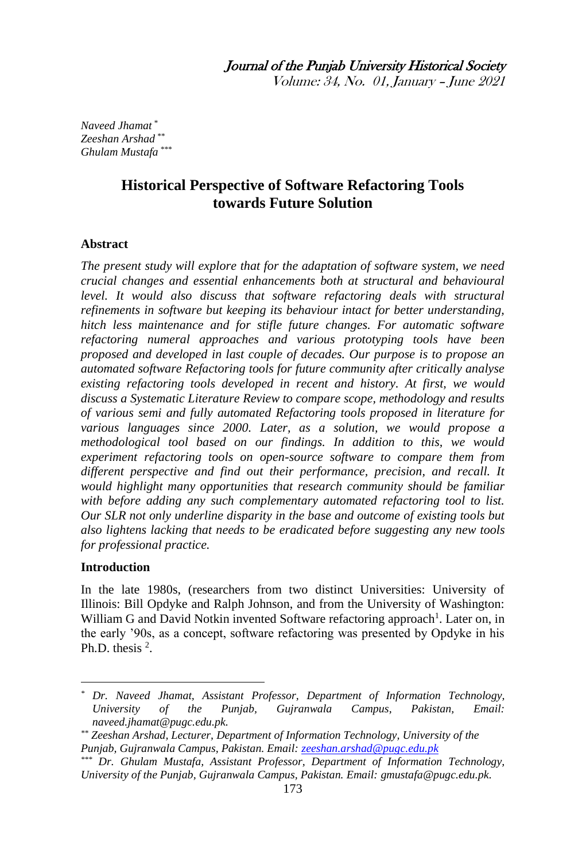Volume: 34, No. 01, January – June 2021

*Naveed Jhamat \* Zeeshan Arshad \*\* Ghulam Mustafa \*\*\**

# **Historical Perspective of Software Refactoring Tools towards Future Solution**

#### **Abstract**

*The present study will explore that for the adaptation of software system, we need crucial changes and essential enhancements both at structural and behavioural level. It would also discuss that software refactoring deals with structural refinements in software but keeping its behaviour intact for better understanding, hitch less maintenance and for stifle future changes. For automatic software refactoring numeral approaches and various prototyping tools have been proposed and developed in last couple of decades. Our purpose is to propose an automated software Refactoring tools for future community after critically analyse existing refactoring tools developed in recent and history. At first, we would discuss a Systematic Literature Review to compare scope, methodology and results of various semi and fully automated Refactoring tools proposed in literature for various languages since 2000. Later, as a solution, we would propose a methodological tool based on our findings. In addition to this, we would experiment refactoring tools on open-source software to compare them from different perspective and find out their performance, precision, and recall. It would highlight many opportunities that research community should be familiar with before adding any such complementary automated refactoring tool to list. Our SLR not only underline disparity in the base and outcome of existing tools but also lightens lacking that needs to be eradicated before suggesting any new tools for professional practice.*

#### **Introduction**

**.** 

In the late 1980s, (researchers from two distinct Universities: University of Illinois: Bill Opdyke and Ralph Johnson, and from the University of Washington: William G and David Notkin invented Software refactoring approach<sup>1</sup>. Later on, in the early '90s, as a concept, software refactoring was presented by Opdyke in his Ph.D. thesis  $2$ .

*<sup>\*</sup> Dr. Naveed Jhamat, Assistant Professor, Department of Information Technology, University of the Punjab, Gujranwala Campus, Pakistan, Email: naveed.jhamat@pugc.edu.pk.*

*<sup>\*\*</sup> Zeeshan Arshad, Lecturer, Department of Information Technology, University of the Punjab, Gujranwala Campus, Pakistan. Email[: zeeshan.arshad@pugc.edu.pk](mailto:zeeshan.arshad@pugc.edu.pk)*

*<sup>\*\*\*</sup> Dr. Ghulam Mustafa, Assistant Professor, Department of Information Technology, University of the Punjab, Gujranwala Campus, Pakistan. Email: gmustafa@pugc.edu.pk.*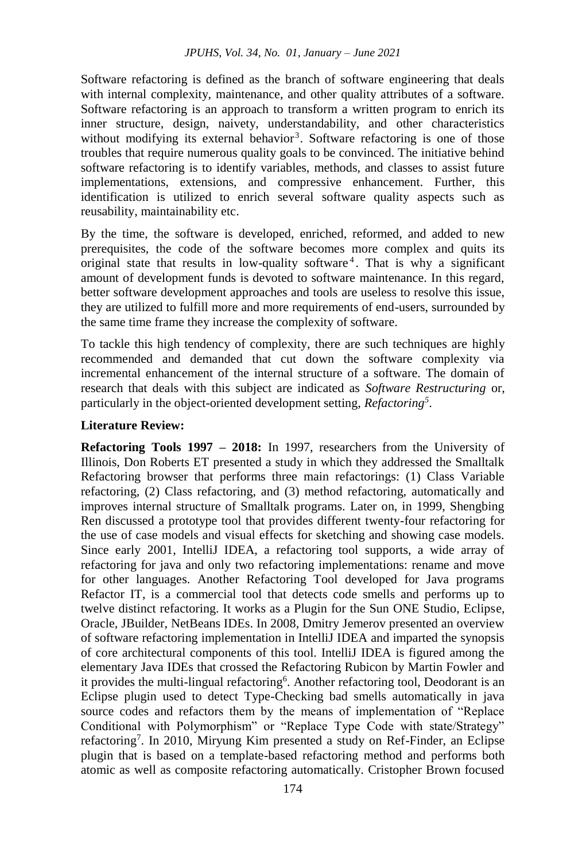Software refactoring is defined as the branch of software engineering that deals with internal complexity, maintenance, and other quality attributes of a software. Software refactoring is an approach to transform a written program to enrich its inner structure, design, naivety, understandability, and other characteristics without modifying its external behavior<sup>3</sup>. Software refactoring is one of those troubles that require numerous quality goals to be convinced. The initiative behind software refactoring is to identify variables, methods, and classes to assist future implementations, extensions, and compressive enhancement. Further, this identification is utilized to enrich several software quality aspects such as reusability, maintainability etc.

By the time, the software is developed, enriched, reformed, and added to new prerequisites, the code of the software becomes more complex and quits its original state that results in low-quality software <sup>4</sup> . That is why a significant amount of development funds is devoted to software maintenance. In this regard, better software development approaches and tools are useless to resolve this issue, they are utilized to fulfill more and more requirements of end-users, surrounded by the same time frame they increase the complexity of software.

To tackle this high tendency of complexity, there are such techniques are highly recommended and demanded that cut down the software complexity via incremental enhancement of the internal structure of a software. The domain of research that deals with this subject are indicated as *Software Restructuring* or, particularly in the object-oriented development setting, *Refactoring<sup>5</sup>* .

### **Literature Review:**

**Refactoring Tools 1997 – 2018:** In 1997, researchers from the University of Illinois, Don Roberts ET presented a study in which they addressed the Smalltalk Refactoring browser that performs three main refactorings: (1) Class Variable refactoring, (2) Class refactoring, and (3) method refactoring, automatically and improves internal structure of Smalltalk programs. Later on, in 1999, Shengbing Ren discussed a prototype tool that provides different twenty-four refactoring for the use of case models and visual effects for sketching and showing case models. Since early 2001, IntelliJ IDEA, a refactoring tool supports, a wide array of refactoring for java and only two refactoring implementations: rename and move for other languages. Another Refactoring Tool developed for Java programs Refactor IT, is a commercial tool that detects code smells and performs up to twelve distinct refactoring. It works as a Plugin for the Sun ONE Studio, Eclipse, Oracle, JBuilder, NetBeans IDEs. In 2008, Dmitry Jemerov presented an overview of software refactoring implementation in IntelliJ IDEA and imparted the synopsis of core architectural components of this tool. IntelliJ IDEA is figured among the elementary Java IDEs that crossed the Refactoring Rubicon by Martin Fowler and it provides the multi-lingual refactoring<sup>6</sup>. Another refactoring tool, Deodorant is an Eclipse plugin used to detect Type-Checking bad smells automatically in java source codes and refactors them by the means of implementation of "Replace Conditional with Polymorphism" or "Replace Type Code with state/Strategy" refactoring<sup>7</sup>. In 2010, Miryung Kim presented a study on Ref-Finder, an Eclipse plugin that is based on a template-based refactoring method and performs both atomic as well as composite refactoring automatically. Cristopher Brown focused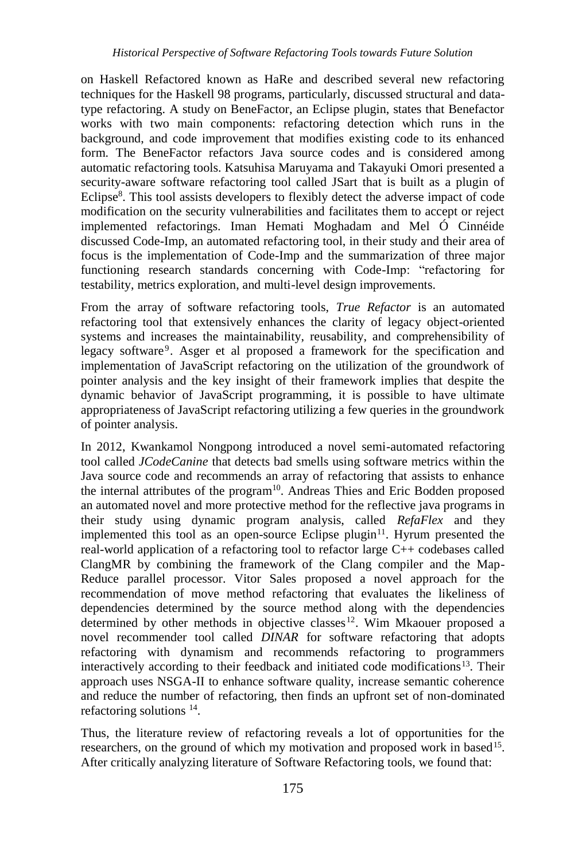on Haskell Refactored known as HaRe and described several new refactoring techniques for the Haskell 98 programs, particularly, discussed structural and datatype refactoring. A study on BeneFactor, an Eclipse plugin, states that Benefactor works with two main components: refactoring detection which runs in the background, and code improvement that modifies existing code to its enhanced form. The BeneFactor refactors Java source codes and is considered among automatic refactoring tools. Katsuhisa Maruyama and Takayuki Omori presented a security-aware software refactoring tool called JSart that is built as a plugin of Eclipse<sup>8</sup>. This tool assists developers to flexibly detect the adverse impact of code modification on the security vulnerabilities and facilitates them to accept or reject implemented refactorings. Iman Hemati Moghadam and Mel Ó Cinnéide discussed Code-Imp, an automated refactoring tool, in their study and their area of focus is the implementation of Code-Imp and the summarization of three major functioning research standards concerning with Code-Imp: "refactoring for testability, metrics exploration, and multi-level design improvements.

From the array of software refactoring tools, *True Refactor* is an automated refactoring tool that extensively enhances the clarity of legacy object-oriented systems and increases the maintainability, reusability, and comprehensibility of legacy software<sup>9</sup>. Asger et al proposed a framework for the specification and implementation of JavaScript refactoring on the utilization of the groundwork of pointer analysis and the key insight of their framework implies that despite the dynamic behavior of JavaScript programming, it is possible to have ultimate appropriateness of JavaScript refactoring utilizing a few queries in the groundwork of pointer analysis.

In 2012, Kwankamol Nongpong introduced a novel semi-automated refactoring tool called *JCodeCanine* that detects bad smells using software metrics within the Java source code and recommends an array of refactoring that assists to enhance the internal attributes of the program<sup>10</sup>. Andreas Thies and Eric Bodden proposed an automated novel and more protective method for the reflective java programs in their study using dynamic program analysis, called *RefaFlex* and they implemented this tool as an open-source Eclipse plugin<sup>11</sup>. Hyrum presented the real-world application of a refactoring tool to refactor large C++ codebases called ClangMR by combining the framework of the Clang compiler and the Map-Reduce parallel processor. Vitor Sales proposed a novel approach for the recommendation of move method refactoring that evaluates the likeliness of dependencies determined by the source method along with the dependencies determined by other methods in objective classes<sup>12</sup>. Wim Mkaouer proposed a novel recommender tool called *DINAR* for software refactoring that adopts refactoring with dynamism and recommends refactoring to programmers interactively according to their feedback and initiated code modifications $13$ . Their approach uses NSGA-II to enhance software quality, increase semantic coherence and reduce the number of refactoring, then finds an upfront set of non-dominated refactoring solutions<sup>14</sup>.

Thus, the literature review of refactoring reveals a lot of opportunities for the researchers, on the ground of which my motivation and proposed work in based<sup>15</sup>. After critically analyzing literature of Software Refactoring tools, we found that: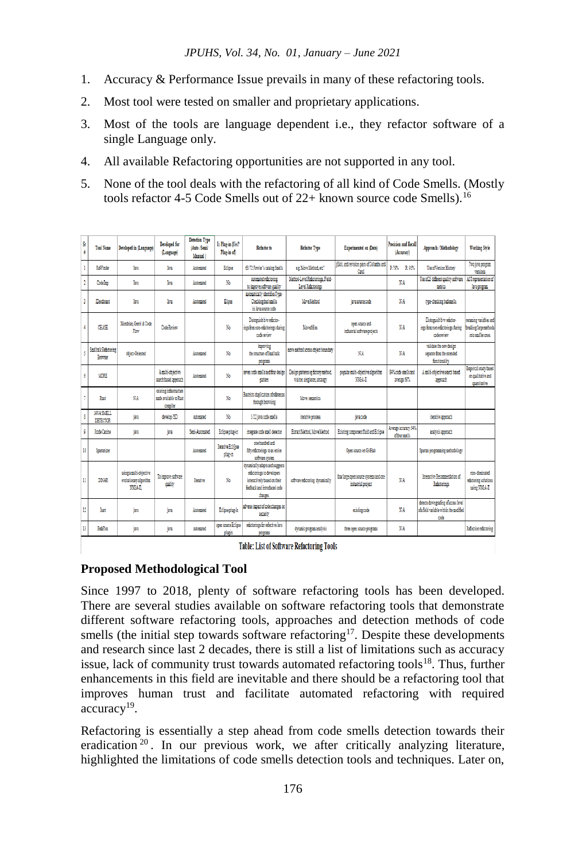- 1. Accuracy & Performance Issue prevails in many of these refactoring tools.
- 2. Most tool were tested on smaller and proprietary applications.
- 3. Most of the tools are language dependent i.e., they refactor software of a single Language only.
- 4. All available Refactoring opportunities are not supported in any tool.
- 5. None of the tool deals with the refactoring of all kind of Code Smells. (Mostly tools refactor 4-5 Code Smells out of 22+ known source code Smells).<sup>16</sup>

| Śr<br>÷      | <b>Tool Name</b>                        | Developed in (Language)                                      | Developed for<br>(Language)                                 | <b>Detection Type</b><br>(Auto /Semi)<br>Manual) | Is Plus-in (Yes)<br>Plus-in of)     | Refactor to                                                                                                                               | <b>Refactor Type</b>                                               | <b>Experimented on (Data)</b>                                | Praction and Recall<br>(Accuracy)       | Approach / Methodology                                                                 | <b>Working Style</b>                                                   |
|--------------|-----------------------------------------|--------------------------------------------------------------|-------------------------------------------------------------|--------------------------------------------------|-------------------------------------|-------------------------------------------------------------------------------------------------------------------------------------------|--------------------------------------------------------------------|--------------------------------------------------------------|-----------------------------------------|----------------------------------------------------------------------------------------|------------------------------------------------------------------------|
|              | <b>RefFinder</b>                        | lm.                                                          | lan                                                         | Automated                                        | Edige                               | 63/72 Fowler's catalog Smells                                                                                                             | e.e. Move Method, etc?                                             | (Edit, and revision pairs of Columba and<br>Cast             | D:70% R:05%                             | <b>Use of Version History</b>                                                          | Two java program<br>versions                                           |
| $\mathbf{r}$ | Code Inno                               | lm.                                                          | laa                                                         | Automated                                        | No                                  | automated refactoring<br>to innove software quality                                                                                       | Method-Level Refactorings, Field-<br>Level Refectorings            |                                                              | NA <sup></sup>                          | Use of 25 different quality software AST representation of<br>settics                  | lava program                                                           |
| 3            | Deodorant                               | lm.                                                          | lan                                                         | Automated                                        | Elipse                              | automatically identifies Type-<br>Checking bad smells<br>in lava source code                                                              | Move Method                                                        | iava source code                                             | N/A                                     | type-checking badamells.                                                               |                                                                        |
|              | CHASE                                   | Mondrian, Gerrit & Code<br>Flore                             | <b>Code Review</b>                                          |                                                  | No                                  | Distnesish b/w refactor-<br>ines from non-refactorings during<br>code review                                                              | Moved files                                                        | coen source and<br>industrial software projects              | NA                                      | Distoguish b/w refactor-<br>ings from non-refactorings during<br>codestriety           | renaming variables and<br>breaking large methods<br>into analier coes. |
| š,           | <b>Smalltalk Refactoring</b><br>Browser | object-Oriented                                              |                                                             | Automated                                        | No                                  | incroving<br>the structure of Smalltalk<br><b>OFFICERS</b>                                                                                | nove nethod across object boundary                                 | N/A                                                          | NA <sup></sup>                          | validate the new design<br>separate from the extended<br>forctionality.                |                                                                        |
| 6            | MORE                                    |                                                              | A molti-objective<br>search based approach                  | Automated                                        | No                                  | seven code anells and four design<br>cattern                                                                                              | Design patterns eg factory method,<br>visitor, singleton, strategy | popular multi-objective algorithm<br>NSGA-II                 | 34% code anells and<br>average 69%      | A stulti-objective search based<br>approach                                            | Espirical study based<br>on qualitative and<br>ouanitative             |
|              | Rust                                    | NА                                                           | ecisting infrastructure<br>made available to Rust<br>comile |                                                  | No                                  | Restricts duplication of references<br>through browsing                                                                                   | Move senantics                                                     |                                                              |                                         |                                                                                        |                                                                        |
| 8            | <b>JAVA SMRTL</b><br>DETECTOR           | 譝                                                            | develop ISD                                                 | astorated                                        | No.                                 | 5/22 java code amella                                                                                                                     | iterative process                                                  | java code                                                    |                                         | iterative approach                                                                     |                                                                        |
| 9            | <b>Icode Canine</b>                     | ies.                                                         | iava                                                        | Seni-Automated                                   | Eclipse plug-in                     | integrate code squell detector                                                                                                            | Extract Method, Move Method                                        | Existing component fluid and Eclipse                         | Average accuracy 54%<br>of four smalls. | analysis approach                                                                      |                                                                        |
| 10           | Spartanizer                             |                                                              |                                                             | Automated                                        | <b>Iterative Edificee</b><br>the-in | one hundred and<br>filly relactorings to an entire<br>software system                                                                     |                                                                    | Open source on GitHub                                        |                                         | Spartan programming methodology                                                        |                                                                        |
| Ħ            | DINAR                                   | uaing a multi-objective<br>evolutionary algorithm<br>NSGA-II | To innove software<br>outlity                               | Iteative                                         | No                                  | dynamically adapts and suggests<br>refactorings to developers<br>interactively based on their<br>feedback and introduced code<br>changes. | software refactoring dynamically                                   | four large open source systems and one<br>industrial project | NA <sub>1</sub>                         | Interactive Recommendation of<br>Referenings                                           | con-dominated<br>refactoring solutions<br>using NSGA-II                |
| 12           | lat                                     | Ìщ                                                           | ina                                                         | Automated                                        | Eclipse plus in                     | adverse impact of code changes on<br>security                                                                                             |                                                                    | existing code                                                | N/A                                     | detects downgrading of access level<br>of a field variable within the modified<br>code |                                                                        |
| B            | <b>Marine</b>                           | Ìщ                                                           | im                                                          | automated                                        | open sorgere Eclipse<br>plugin      | refactorings for reflective Java<br><b>ONGERIES</b>                                                                                       | dynamic program analysis                                           | three open source programs                                   | N/A                                     |                                                                                        | Refection referening                                                   |
|              |                                         |                                                              |                                                             |                                                  |                                     |                                                                                                                                           | Table: This additional Data standard Table                         |                                                              |                                         |                                                                                        |                                                                        |

Table: List of Software Refactoring Tools

## **Proposed Methodological Tool**

Since 1997 to 2018, plenty of software refactoring tools has been developed. There are several studies available on software refactoring tools that demonstrate different software refactoring tools, approaches and detection methods of code smells (the initial step towards software refactoring<sup>17</sup>. Despite these developments and research since last 2 decades, there is still a list of limitations such as accuracy issue, lack of community trust towards automated refactoring tools<sup>18</sup>. Thus, further enhancements in this field are inevitable and there should be a refactoring tool that improves human trust and facilitate automated refactoring with required accuracy<sup>19</sup>.

Refactoring is essentially a step ahead from code smells detection towards their eradication <sup>20</sup>. In our previous work, we after critically analyzing literature, highlighted the limitations of code smells detection tools and techniques. Later on,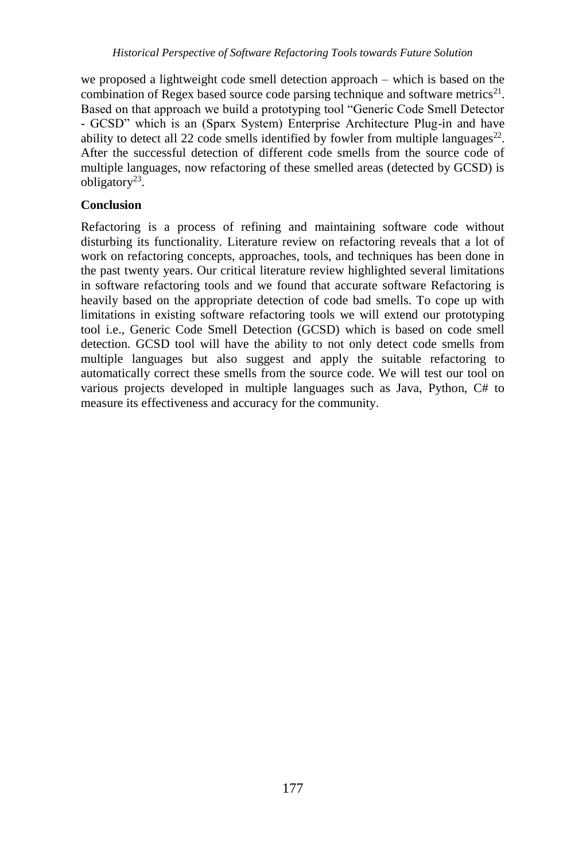we proposed a lightweight code smell detection approach – which is based on the combination of Regex based source code parsing technique and software metrics<sup>21</sup>. Based on that approach we build a prototyping tool "Generic Code Smell Detector - GCSD" which is an (Sparx System) Enterprise Architecture Plug-in and have ability to detect all 22 code smells identified by fowler from multiple languages $^{22}$ . After the successful detection of different code smells from the source code of multiple languages, now refactoring of these smelled areas (detected by GCSD) is obligatory<sup>23</sup>.

# **Conclusion**

Refactoring is a process of refining and maintaining software code without disturbing its functionality. Literature review on refactoring reveals that a lot of work on refactoring concepts, approaches, tools, and techniques has been done in the past twenty years. Our critical literature review highlighted several limitations in software refactoring tools and we found that accurate software Refactoring is heavily based on the appropriate detection of code bad smells. To cope up with limitations in existing software refactoring tools we will extend our prototyping tool i.e., Generic Code Smell Detection (GCSD) which is based on code smell detection. GCSD tool will have the ability to not only detect code smells from multiple languages but also suggest and apply the suitable refactoring to automatically correct these smells from the source code. We will test our tool on various projects developed in multiple languages such as Java, Python, C# to measure its effectiveness and accuracy for the community.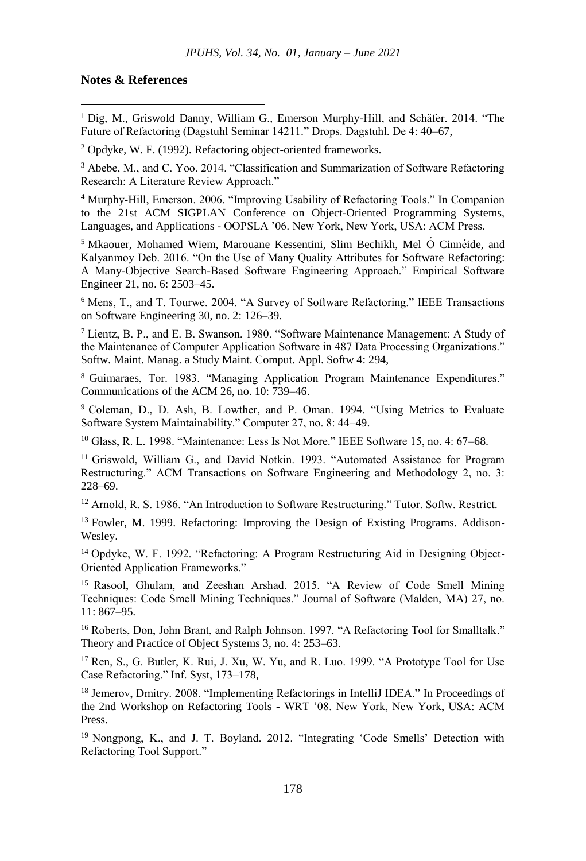#### **Notes & References**

-

<sup>1</sup> Dig, M., Griswold Danny, William G., Emerson Murphy-Hill, and Schäfer. 2014. "The Future of Refactoring (Dagstuhl Seminar 14211." Drops. Dagstuhl. De 4: 40–67,

<sup>2</sup> Opdyke, W. F. (1992). Refactoring object-oriented frameworks.

<sup>3</sup> Abebe, M., and C. Yoo. 2014. "Classification and Summarization of Software Refactoring Research: A Literature Review Approach."

<sup>4</sup> Murphy-Hill, Emerson. 2006. "Improving Usability of Refactoring Tools." In Companion to the 21st ACM SIGPLAN Conference on Object-Oriented Programming Systems, Languages, and Applications - OOPSLA '06. New York, New York, USA: ACM Press.

<sup>5</sup> Mkaouer, Mohamed Wiem, Marouane Kessentini, Slim Bechikh, Mel Ó Cinné ide, and Kalyanmoy Deb. 2016. "On the Use of Many Quality Attributes for Software Refactoring: A Many-Objective Search-Based Software Engineering Approach." Empirical Software Engineer 21, no. 6: 2503–45.

<sup>6</sup> Mens, T., and T. Tourwe. 2004. "A Survey of Software Refactoring." IEEE Transactions on Software Engineering 30, no. 2: 126–39.

<sup>7</sup> Lientz, B. P., and E. B. Swanson. 1980. "Software Maintenance Management: A Study of the Maintenance of Computer Application Software in 487 Data Processing Organizations." Softw. Maint. Manag. a Study Maint. Comput. Appl. Softw 4: 294,

<sup>8</sup> Guimaraes, Tor. 1983. "Managing Application Program Maintenance Expenditures." Communications of the ACM 26, no. 10: 739–46.

<sup>9</sup> Coleman, D., D. Ash, B. Lowther, and P. Oman. 1994. "Using Metrics to Evaluate Software System Maintainability." Computer 27, no. 8: 44–49.

<sup>10</sup> Glass, R. L. 1998. "Maintenance: Less Is Not More." IEEE Software 15, no. 4: 67-68.

<sup>11</sup> Griswold, William G., and David Notkin. 1993. "Automated Assistance for Program Restructuring." ACM Transactions on Software Engineering and Methodology 2, no. 3: 228–69.

<sup>12</sup> Arnold, R. S. 1986. "An Introduction to Software Restructuring." Tutor. Softw. Restrict.

<sup>13</sup> Fowler, M. 1999. Refactoring: Improving the Design of Existing Programs. Addison-Wesley.

<sup>14</sup> Opdyke, W. F. 1992. "Refactoring: A Program Restructuring Aid in Designing Object-Oriented Application Frameworks."

<sup>15</sup> Rasool, Ghulam, and Zeeshan Arshad. 2015. "A Review of Code Smell Mining Techniques: Code Smell Mining Techniques." Journal of Software (Malden, MA) 27, no. 11: 867–95.

<sup>16</sup> Roberts, Don, John Brant, and Ralph Johnson. 1997. "A Refactoring Tool for Smalltalk." Theory and Practice of Object Systems 3, no. 4: 253–63.

<sup>17</sup> Ren, S., G. Butler, K. Rui, J. Xu, W. Yu, and R. Luo. 1999. "A Prototype Tool for Use Case Refactoring." Inf. Syst, 173–178,

<sup>18</sup> Jemerov, Dmitry. 2008. "Implementing Refactorings in IntelliJ IDEA." In Proceedings of the 2nd Workshop on Refactoring Tools - WRT '08. New York, New York, USA: ACM Press.

<sup>19</sup> Nongpong, K., and J. T. Boyland. 2012. "Integrating 'Code Smells' Detection with Refactoring Tool Support."